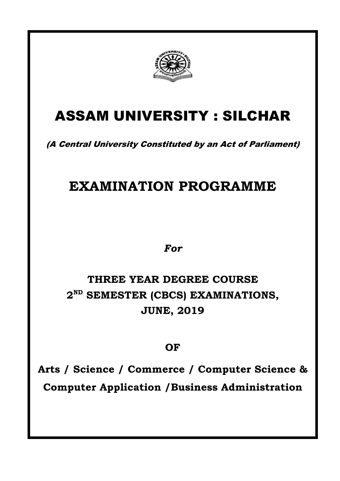

# ASSAM UNIVERSITY : SILCHAR

(A Central University Constituted by an Act of Parliament)

# **EXAMINATION PROGRAMME**

*For* 

## **THREE YEAR DEGREE COURSE 2 ND SEMESTER (CBCS) EXAMINATIONS, JUNE, 2019**

## **OF**

**Arts / Science / Commerce / Computer Science & Computer Application /Business Administration**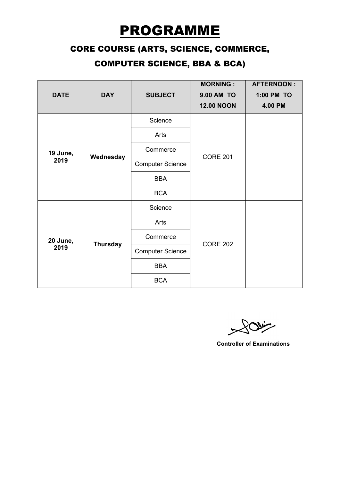# PROGRAMME

### CORE COURSE (ARTS, SCIENCE, COMMERCE,

## COMPUTER SCIENCE, BBA & BCA)

|                  |                 |                         | <b>MORNING:</b>   | <b>AFTERNOON:</b> |
|------------------|-----------------|-------------------------|-------------------|-------------------|
| <b>DATE</b>      | <b>DAY</b>      | <b>SUBJECT</b>          | <b>9.00 AM TO</b> | 1:00 PM TO        |
|                  |                 |                         | <b>12.00 NOON</b> | 4.00 PM           |
| 19 June,<br>2019 | Wednesday       | Science                 | <b>CORE 201</b>   |                   |
|                  |                 | Arts                    |                   |                   |
|                  |                 | Commerce                |                   |                   |
|                  |                 | <b>Computer Science</b> |                   |                   |
|                  |                 | <b>BBA</b>              |                   |                   |
|                  |                 | <b>BCA</b>              |                   |                   |
| 20 June,<br>2019 | <b>Thursday</b> | Science                 | <b>CORE 202</b>   |                   |
|                  |                 | Arts                    |                   |                   |
|                  |                 | Commerce                |                   |                   |
|                  |                 | <b>Computer Science</b> |                   |                   |
|                  |                 | <b>BBA</b>              |                   |                   |
|                  |                 | <b>BCA</b>              |                   |                   |

Ravig  $\tilde{\zeta}$ 

**Controller of Examinations**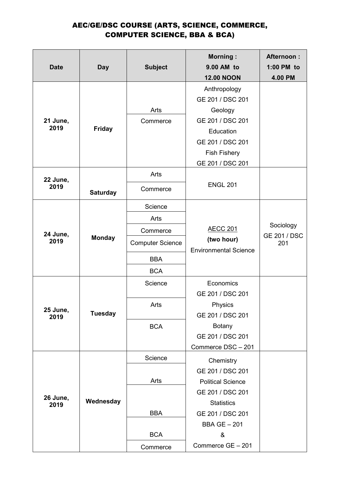#### AEC/GE/DSC COURSE (ARTS, SCIENCE, COMMERCE, COMPUTER SCIENCE, BBA & BCA)

|                  |                 |                         | <b>Morning:</b>                                                    | <b>Afternoon:</b>          |
|------------------|-----------------|-------------------------|--------------------------------------------------------------------|----------------------------|
| <b>Date</b>      | <b>Day</b>      | <b>Subject</b>          | 9.00 AM to                                                         | 1:00 PM to                 |
|                  |                 |                         | <b>12.00 NOON</b>                                                  | 4.00 PM                    |
|                  |                 |                         | Anthropology                                                       |                            |
|                  |                 |                         | GE 201 / DSC 201                                                   |                            |
|                  |                 | Arts                    | Geology                                                            |                            |
| 21 June,         |                 | Commerce                | GE 201 / DSC 201                                                   |                            |
| 2019             | <b>Friday</b>   |                         | Education                                                          |                            |
|                  |                 |                         | GE 201 / DSC 201                                                   |                            |
|                  |                 |                         | <b>Fish Fishery</b>                                                |                            |
|                  |                 |                         | GE 201 / DSC 201                                                   |                            |
| 22 June,         |                 | Arts                    |                                                                    |                            |
| 2019             | <b>Saturday</b> | Commerce                | <b>ENGL 201</b>                                                    |                            |
|                  |                 | Science                 |                                                                    |                            |
|                  |                 | Arts                    |                                                                    |                            |
| 24 June,         | <b>Monday</b>   | Commerce                | <b>AECC 201</b>                                                    | Sociology                  |
| 2019             |                 | <b>Computer Science</b> | (two hour)                                                         | <b>GE 201 / DSC</b><br>201 |
|                  |                 | <b>BBA</b>              |                                                                    |                            |
|                  |                 | <b>BCA</b>              |                                                                    |                            |
|                  |                 | Science                 | Economics                                                          |                            |
|                  |                 |                         | <b>Environmental Science</b><br>GE 201 / DSC 201<br><b>Physics</b> |                            |
| 25 June,         |                 | Arts                    |                                                                    |                            |
| 2019             | <b>Tuesday</b>  |                         | GE 201 / DSC 201                                                   |                            |
|                  |                 | <b>BCA</b>              | <b>Botany</b>                                                      |                            |
|                  |                 |                         | GE 201 / DSC 201                                                   |                            |
|                  |                 |                         | Commerce DSC - 201                                                 |                            |
|                  | Wednesday       | Science                 | Chemistry                                                          |                            |
|                  |                 |                         | GE 201 / DSC 201                                                   |                            |
|                  |                 | Arts                    | <b>Political Science</b>                                           |                            |
|                  |                 |                         | GE 201 / DSC 201                                                   |                            |
| 26 June,<br>2019 |                 |                         | <b>Statistics</b>                                                  |                            |
|                  |                 | <b>BBA</b>              | GE 201 / DSC 201                                                   |                            |
|                  |                 |                         | <b>BBA GE - 201</b>                                                |                            |
|                  |                 | <b>BCA</b>              | &                                                                  |                            |
|                  |                 | Commerce                | Commerce GE - 201                                                  |                            |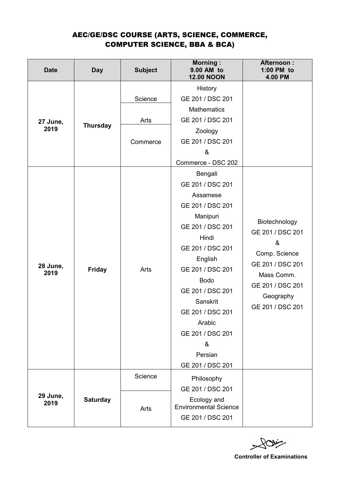#### AEC/GE/DSC COURSE (ARTS, SCIENCE, COMMERCE, COMPUTER SCIENCE, BBA & BCA)

| <b>Date</b>      | <b>Day</b>      | <b>Subject</b>              | <b>Morning:</b><br>9.00 AM to<br><b>12.00 NOON</b>                                                                                                                                                                                                                                           | <b>Afternoon:</b><br>1:00 PM to<br>4.00 PM                                                                                                     |
|------------------|-----------------|-----------------------------|----------------------------------------------------------------------------------------------------------------------------------------------------------------------------------------------------------------------------------------------------------------------------------------------|------------------------------------------------------------------------------------------------------------------------------------------------|
| 27 June,<br>2019 | <b>Thursday</b> | Science<br>Arts<br>Commerce | History<br>GE 201 / DSC 201<br><b>Mathematics</b><br>GE 201 / DSC 201<br>Zoology<br>GE 201 / DSC 201<br>&<br>Commerce - DSC 202                                                                                                                                                              |                                                                                                                                                |
| 28 June,<br>2019 | <b>Friday</b>   | Arts                        | Bengali<br>GE 201 / DSC 201<br>Assamese<br>GE 201 / DSC 201<br>Manipuri<br>GE 201 / DSC 201<br>Hindi<br>GE 201 / DSC 201<br>English<br>GE 201 / DSC 201<br><b>Bodo</b><br>GE 201 / DSC 201<br>Sanskrit<br>GE 201 / DSC 201<br>Arabic<br>GE 201 / DSC 201<br>&<br>Persian<br>GE 201 / DSC 201 | Biotechnology<br>GE 201 / DSC 201<br>&<br>Comp. Science<br>GE 201 / DSC 201<br>Mass Comm.<br>GE 201 / DSC 201<br>Geography<br>GE 201 / DSC 201 |
| 29 June,<br>2019 | <b>Saturday</b> | Science                     | Philosophy<br>GE 201 / DSC 201                                                                                                                                                                                                                                                               |                                                                                                                                                |
|                  |                 | Arts                        | Ecology and<br><b>Environmental Science</b><br>GE 201 / DSC 201                                                                                                                                                                                                                              |                                                                                                                                                |

 $204$ 

 **Controller of Examinations**